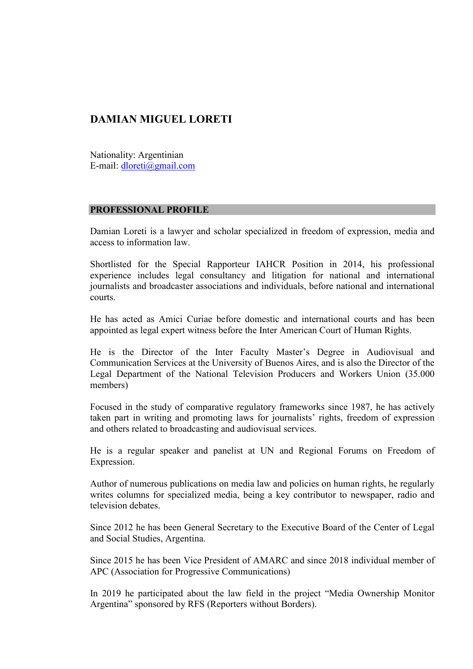### **DAMIAN MIGUEL LORETI**

Nationality: Argentinian E-mail: [dloreti@gmail.com](mailto:dloreti@gmail.com)

#### **PROFESSIONAL PROFILE**

Damian Loreti is a lawyer and scholar specialized in freedom of expression, media and access to information law.

Shortlisted for the Special Rapporteur IAHCR Position in 2014, his professional experience includes legal consultancy and litigation for national and international journalists and broadcaster associations and individuals, before national and international courts.

He has acted as Amici Curiae before domestic and international courts and has been appointed as legal expert witness before the Inter American Court of Human Rights.

He is the Director of the Inter Faculty Master's Degree in Audiovisual and Communication Services at the University of Buenos Aires, and is also the Director of the Legal Department of the National Television Producers and Workers Union (35.000 members)

Focused in the study of comparative regulatory frameworks since 1987, he has actively taken part in writing and promoting laws for journalists' rights, freedom of expression and others related to broadcasting and audiovisual services.

He is a regular speaker and panelist at UN and Regional Forums on Freedom of Expression.

Author of numerous publications on media law and policies on human rights, he regularly writes columns for specialized media, being a key contributor to newspaper, radio and television debates.

Since 2012 he has been General Secretary to the Executive Board of the Center of Legal and Social Studies, Argentina.

Since 2015 he has been Vice President of AMARC and since 2018 individual member of APC (Association for Progressive Communications)

In 2019 he participated about the law field in the project "Media Ownership Monitor Argentina" sponsored by RFS (Reporters without Borders).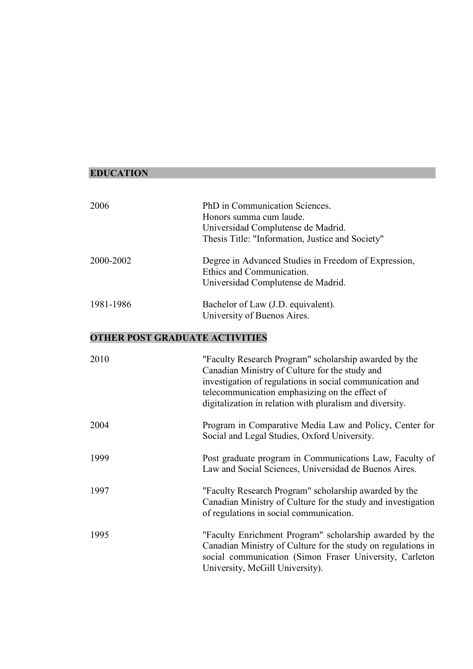#### **EDUCATION**

| 2006      | PhD in Communication Sciences.                       |
|-----------|------------------------------------------------------|
|           | Honors summa cum laude.                              |
|           | Universidad Complutense de Madrid.                   |
|           | Thesis Title: "Information, Justice and Society"     |
| 2000-2002 | Degree in Advanced Studies in Freedom of Expression, |
|           | Ethics and Communication.                            |
|           | Universidad Complutense de Madrid.                   |
| 1981-1986 | Bachelor of Law (J.D. equivalent).                   |
|           | University of Buenos Aires.                          |

### **OTHER POST GRADUATE ACTIVITIES**

| 2010 | "Faculty Research Program" scholarship awarded by the<br>Canadian Ministry of Culture for the study and<br>investigation of regulations in social communication and<br>telecommunication emphasizing on the effect of<br>digitalization in relation with pluralism and diversity. |
|------|-----------------------------------------------------------------------------------------------------------------------------------------------------------------------------------------------------------------------------------------------------------------------------------|
| 2004 | Program in Comparative Media Law and Policy, Center for<br>Social and Legal Studies, Oxford University.                                                                                                                                                                           |
| 1999 | Post graduate program in Communications Law, Faculty of<br>Law and Social Sciences, Universidad de Buenos Aires.                                                                                                                                                                  |
| 1997 | "Faculty Research Program" scholarship awarded by the<br>Canadian Ministry of Culture for the study and investigation<br>of regulations in social communication.                                                                                                                  |
| 1995 | "Faculty Enrichment Program" scholarship awarded by the<br>Canadian Ministry of Culture for the study on regulations in<br>social communication (Simon Fraser University, Carleton<br>University, McGill University).                                                             |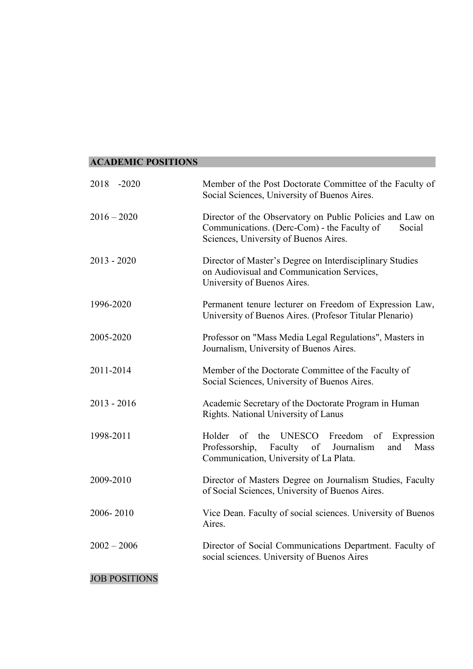## **ACADEMIC POSITIONS**

| 2018 -2020           | Member of the Post Doctorate Committee of the Faculty of<br>Social Sciences, University of Buenos Aires.                                                    |
|----------------------|-------------------------------------------------------------------------------------------------------------------------------------------------------------|
| $2016 - 2020$        | Director of the Observatory on Public Policies and Law on<br>Communications. (Derc-Com) - the Faculty of<br>Social<br>Sciences, University of Buenos Aires. |
| $2013 - 2020$        | Director of Master's Degree on Interdisciplinary Studies<br>on Audiovisual and Communication Services,<br>University of Buenos Aires.                       |
| 1996-2020            | Permanent tenure lecturer on Freedom of Expression Law,<br>University of Buenos Aires. (Profesor Titular Plenario)                                          |
| 2005-2020            | Professor on "Mass Media Legal Regulations", Masters in<br>Journalism, University of Buenos Aires.                                                          |
| 2011-2014            | Member of the Doctorate Committee of the Faculty of<br>Social Sciences, University of Buenos Aires.                                                         |
| $2013 - 2016$        | Academic Secretary of the Doctorate Program in Human<br>Rights. National University of Lanus                                                                |
| 1998-2011            | UNESCO Freedom<br>Holder<br>of the<br>of Expression<br>Faculty of Journalism<br>Professorship,<br>Mass<br>and<br>Communication, University of La Plata.     |
| 2009-2010            | Director of Masters Degree on Journalism Studies, Faculty<br>of Social Sciences, University of Buenos Aires.                                                |
| 2006-2010            | Vice Dean. Faculty of social sciences. University of Buenos<br>Aires.                                                                                       |
| $2002 - 2006$        | Director of Social Communications Department. Faculty of<br>social sciences. University of Buenos Aires                                                     |
| <b>JOB POSITIONS</b> |                                                                                                                                                             |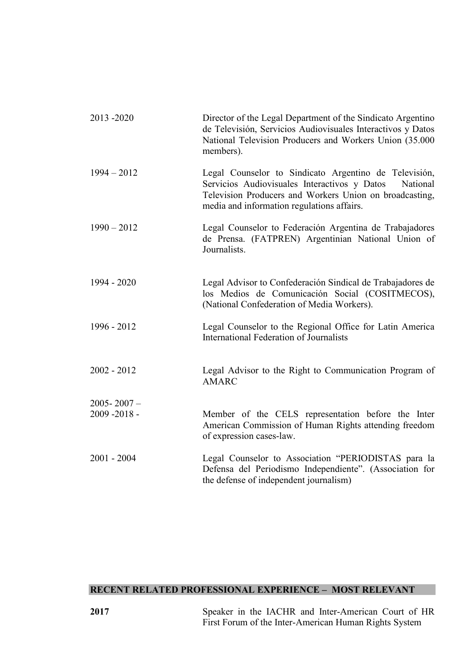| 2013-2020       | Director of the Legal Department of the Sindicato Argentino<br>de Televisión, Servicios Audiovisuales Interactivos y Datos<br>National Television Producers and Workers Union (35.000<br>members).                         |
|-----------------|----------------------------------------------------------------------------------------------------------------------------------------------------------------------------------------------------------------------------|
| $1994 - 2012$   | Legal Counselor to Sindicato Argentino de Televisión,<br>Servicios Audiovisuales Interactivos y Datos<br>National<br>Television Producers and Workers Union on broadcasting,<br>media and information regulations affairs. |
| $1990 - 2012$   | Legal Counselor to Federación Argentina de Trabajadores<br>de Prensa. (FATPREN) Argentinian National Union of<br>Journalists.                                                                                              |
| 1994 - 2020     | Legal Advisor to Confederación Sindical de Trabajadores de<br>los Medios de Comunicación Social (COSITMECOS),<br>(National Confederation of Media Workers).                                                                |
| 1996 - 2012     | Legal Counselor to the Regional Office for Latin America<br>International Federation of Journalists                                                                                                                        |
| $2002 - 2012$   | Legal Advisor to the Right to Communication Program of<br><b>AMARC</b>                                                                                                                                                     |
| $2005 - 2007 -$ |                                                                                                                                                                                                                            |
| 2009-2018-      | Member of the CELS representation before the Inter<br>American Commission of Human Rights attending freedom<br>of expression cases-law.                                                                                    |
| $2001 - 2004$   | Legal Counselor to Association "PERIODISTAS para la<br>Defensa del Periodismo Independiente". (Association for<br>the defense of independent journalism)                                                                   |

# **RECENT RELATED PROFESSIONAL EXPERIENCE – MOST RELEVANT**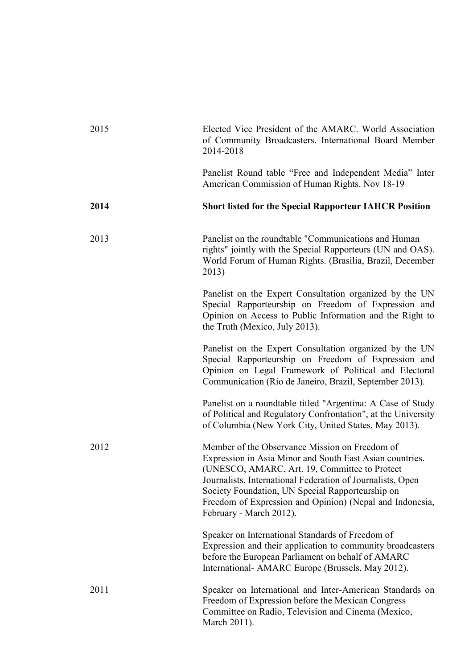| 2015 | Elected Vice President of the AMARC. World Association<br>of Community Broadcasters. International Board Member<br>2014-2018                                                                                                                                                                                                                                         |
|------|----------------------------------------------------------------------------------------------------------------------------------------------------------------------------------------------------------------------------------------------------------------------------------------------------------------------------------------------------------------------|
|      | Panelist Round table "Free and Independent Media" Inter<br>American Commission of Human Rights. Nov 18-19                                                                                                                                                                                                                                                            |
| 2014 | <b>Short listed for the Special Rapporteur IAHCR Position</b>                                                                                                                                                                                                                                                                                                        |
| 2013 | Panelist on the roundtable "Communications and Human<br>rights" jointly with the Special Rapporteurs (UN and OAS).<br>World Forum of Human Rights. (Brasilia, Brazil, December<br>2013)                                                                                                                                                                              |
|      | Panelist on the Expert Consultation organized by the UN<br>Special Rapporteurship on Freedom of Expression and<br>Opinion on Access to Public Information and the Right to<br>the Truth (Mexico, July 2013).                                                                                                                                                         |
|      | Panelist on the Expert Consultation organized by the UN<br>Special Rapporteurship on Freedom of Expression and<br>Opinion on Legal Framework of Political and Electoral<br>Communication (Rio de Janeiro, Brazil, September 2013).                                                                                                                                   |
|      | Panelist on a roundtable titled "Argentina: A Case of Study<br>of Political and Regulatory Confrontation", at the University<br>of Columbia (New York City, United States, May 2013).                                                                                                                                                                                |
| 2012 | Member of the Observance Mission on Freedom of<br>Expression in Asia Minor and South East Asian countries.<br>(UNESCO, AMARC, Art. 19, Committee to Protect<br>Journalists, International Federation of Journalists, Open<br>Society Foundation, UN Special Rapporteurship on<br>Freedom of Expression and Opinion) (Nepal and Indonesia,<br>February - March 2012). |
|      | Speaker on International Standards of Freedom of<br>Expression and their application to community broadcasters<br>before the European Parliament on behalf of AMARC<br>International- AMARC Europe (Brussels, May 2012).                                                                                                                                             |
| 2011 | Speaker on International and Inter-American Standards on<br>Freedom of Expression before the Mexican Congress<br>Committee on Radio, Television and Cinema (Mexico,<br>March 2011).                                                                                                                                                                                  |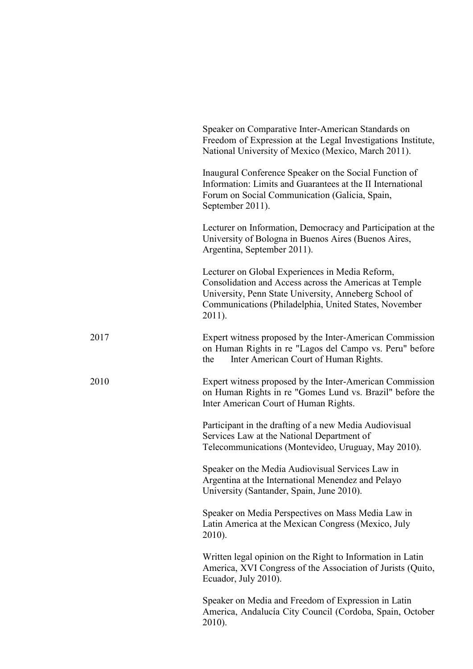|      | Speaker on Comparative Inter-American Standards on<br>Freedom of Expression at the Legal Investigations Institute,<br>National University of Mexico (Mexico, March 2011).                                                             |
|------|---------------------------------------------------------------------------------------------------------------------------------------------------------------------------------------------------------------------------------------|
|      | Inaugural Conference Speaker on the Social Function of<br>Information: Limits and Guarantees at the II International<br>Forum on Social Communication (Galicia, Spain,<br>September 2011).                                            |
|      | Lecturer on Information, Democracy and Participation at the<br>University of Bologna in Buenos Aires (Buenos Aires,<br>Argentina, September 2011).                                                                                    |
|      | Lecturer on Global Experiences in Media Reform,<br>Consolidation and Access across the Americas at Temple<br>University, Penn State University, Anneberg School of<br>Communications (Philadelphia, United States, November<br>2011). |
| 2017 | Expert witness proposed by the Inter-American Commission<br>on Human Rights in re "Lagos del Campo vs. Peru" before<br>Inter American Court of Human Rights.<br>the                                                                   |
| 2010 | Expert witness proposed by the Inter-American Commission<br>on Human Rights in re "Gomes Lund vs. Brazil" before the<br>Inter American Court of Human Rights.                                                                         |
|      | Participant in the drafting of a new Media Audiovisual<br>Services Law at the National Department of<br>Telecommunications (Montevideo, Uruguay, May 2010).                                                                           |
|      | Speaker on the Media Audiovisual Services Law in<br>Argentina at the International Menendez and Pelayo<br>University (Santander, Spain, June 2010).                                                                                   |
|      | Speaker on Media Perspectives on Mass Media Law in<br>Latin America at the Mexican Congress (Mexico, July<br>2010).                                                                                                                   |
|      | Written legal opinion on the Right to Information in Latin<br>America, XVI Congress of the Association of Jurists (Quito,<br>Ecuador, July 2010).                                                                                     |
|      | Speaker on Media and Freedom of Expression in Latin<br>America, Andalucía City Council (Cordoba, Spain, October<br>2010).                                                                                                             |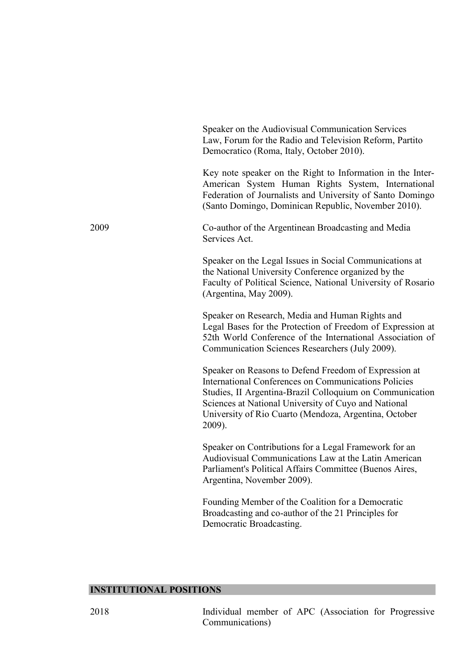|      | Speaker on the Audiovisual Communication Services<br>Law, Forum for the Radio and Television Reform, Partito<br>Democratico (Roma, Italy, October 2010).                                                                                                                                             |
|------|------------------------------------------------------------------------------------------------------------------------------------------------------------------------------------------------------------------------------------------------------------------------------------------------------|
|      | Key note speaker on the Right to Information in the Inter-<br>American System Human Rights System, International<br>Federation of Journalists and University of Santo Domingo<br>(Santo Domingo, Dominican Republic, November 2010).                                                                 |
| 2009 | Co-author of the Argentinean Broadcasting and Media<br>Services Act.                                                                                                                                                                                                                                 |
|      | Speaker on the Legal Issues in Social Communications at<br>the National University Conference organized by the<br>Faculty of Political Science, National University of Rosario<br>(Argentina, May 2009).                                                                                             |
|      | Speaker on Research, Media and Human Rights and<br>Legal Bases for the Protection of Freedom of Expression at<br>52th World Conference of the International Association of<br>Communication Sciences Researchers (July 2009).                                                                        |
|      | Speaker on Reasons to Defend Freedom of Expression at<br>International Conferences on Communications Policies<br>Studies, II Argentina-Brazil Colloquium on Communication<br>Sciences at National University of Cuyo and National<br>University of Rio Cuarto (Mendoza, Argentina, October<br>2009). |
|      | Speaker on Contributions for a Legal Framework for an<br>Audiovisual Communications Law at the Latin American<br>Parliament's Political Affairs Committee (Buenos Aires,<br>Argentina, November 2009).                                                                                               |
|      | Founding Member of the Coalition for a Democratic<br>Broadcasting and co-author of the 21 Principles for<br>Democratic Broadcasting.                                                                                                                                                                 |

# **INSTITUTIONAL POSITIONS**

2018 Individual member of APC (Association for Progressive Communications)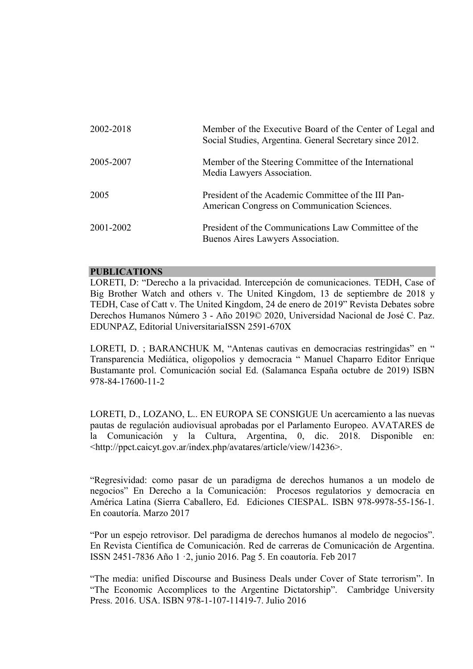| 2002-2018 | Member of the Executive Board of the Center of Legal and<br>Social Studies, Argentina. General Secretary since 2012. |
|-----------|----------------------------------------------------------------------------------------------------------------------|
| 2005-2007 | Member of the Steering Committee of the International<br>Media Lawyers Association.                                  |
| 2005      | President of the Academic Committee of the III Pan-<br>American Congress on Communication Sciences.                  |
| 2001-2002 | President of the Communications Law Committee of the<br>Buenos Aires Lawyers Association.                            |

#### **PUBLICATIONS**

LORETI, D: "Derecho a la privacidad. Intercepción de comunicaciones. TEDH, Case of Big Brother Watch and others v. The United Kingdom, 13 de septiembre de 2018 y TEDH, Case of Catt v. The United Kingdom, 24 de enero de 2019" Revista Debates sobre Derechos Humanos Número 3 - Año 2019© 2020, Universidad Nacional de José C. Paz. EDUNPAZ, Editorial UniversitariaISSN 2591-670X

LORETI, D. ; BARANCHUK M, "Antenas cautivas en democracias restringidas" en " Transparencia Mediática, oligopolios y democracia " Manuel Chaparro Editor Enrique Bustamante prol. Comunicación social Ed. (Salamanca España octubre de 2019) ISBN 978-84-17600-11-2

LORETI, D., LOZANO, L.. EN EUROPA SE CONSIGUE Un acercamiento a las nuevas pautas de regulación audiovisual aprobadas por el Parlamento Europeo. AVATARES de la Comunicación y la Cultura, Argentina, 0, dic. 2018. Disponible en: <http://ppct.caicyt.gov.ar/index.php/avatares/article/view/14236>.

"Regresividad: como pasar de un paradigma de derechos humanos a un modelo de negocios" En Derecho a la Comunicación: Procesos regulatorios y democracia en América Latina (Sierra Caballero, Ed. Ediciones CIESPAL. ISBN 978-9978-55-156-1. En coautoría. Marzo 2017

"Por un espejo retrovisor. Del paradigma de derechos humanos al modelo de negocios". En Revista Científica de Comunicación. Red de carreras de Comunicación de Argentina. ISSN 2451-7836 Año 1 ·2, junio 2016. Pag 5. En coautoría. Feb 2017

"The media: unified Discourse and Business Deals under Cover of State terrorism". In "The Economic Accomplices to the Argentine Dictatorship". Cambridge University Press. 2016. USA. ISBN 978-1-107-11419-7. Julio 2016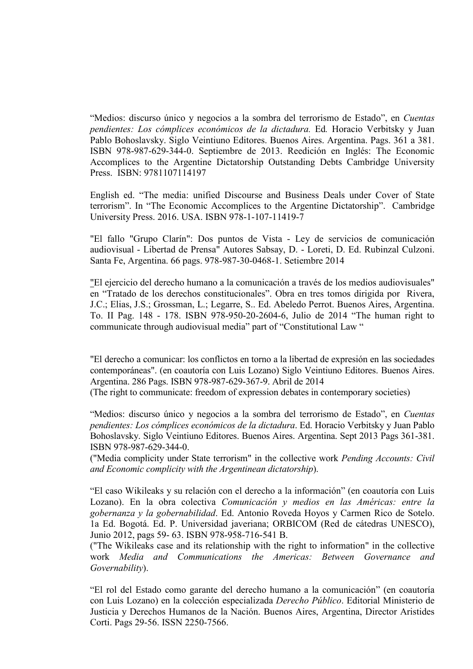"Medios: discurso único y negocios a la sombra del terrorismo de Estado", en *Cuentas pendientes: Los cómplices económicos de la dictadura.* Ed*.* Horacio Verbitsky y Juan Pablo Bohoslavsky. Siglo Veintiuno Editores. Buenos Aires. Argentina. Pags. 361 a 381. ISBN 978-987-629-344-0. Septiembre de 2013. Reedición en Inglés: The Economic Accomplices to the Argentine Dictatorship Outstanding Debts Cambridge University Press. ISBN: 9781107114197

English ed. "The media: unified Discourse and Business Deals under Cover of State terrorism". In "The Economic Accomplices to the Argentine Dictatorship". Cambridge University Press. 2016. USA. ISBN 978-1-107-11419-7

"El fallo "Grupo Clarín": Dos puntos de Vista - Ley de servicios de comunicación audiovisual - Libertad de Prensa" Autores Sabsay, D. - Loreti, D. Ed. Rubinzal Culzoni. Santa Fe, Argentina. 66 pags. 978-987-30-0468-1. Setiembre 2014

"El ejercicio del derecho humano a la comunicación a través de los medios audiovisuales" en "Tratado de los derechos constitucionales". Obra en tres tomos dirigida por Rivera, J.C.; Elias, J.S.; Grossman, L.; Legarre, S.. Ed. Abeledo Perrot. Buenos Aires, Argentina. To. II Pag. 148 - 178. ISBN 978-950-20-2604-6, Julio de 2014 "The human right to communicate through audiovisual media" part of "Constitutional Law "

"El derecho a comunicar: los conflictos en torno a la libertad de expresión en las sociedades contemporáneas". (en coautoría con Luis Lozano) Siglo Veintiuno Editores. Buenos Aires. Argentina. 286 Pags. ISBN 978-987-629-367-9. Abril de 2014 (The right to communicate: freedom of expression debates in contemporary societies)

"Medios: discurso único y negocios a la sombra del terrorismo de Estado", en *Cuentas pendientes: Los cómplices económicos de la dictadura*. Ed. Horacio Verbitsky y Juan Pablo Bohoslavsky. Siglo Veintiuno Editores. Buenos Aires. Argentina. Sept 2013 Pags 361-381. ISBN 978-987-629-344-0.

("Media complicity under State terrorism" in the collective work *Pending Accounts: Civil and Economic complicity with the Argentinean dictatorship*).

"El caso Wikileaks y su relación con el derecho a la información" (en coautoría con Luis Lozano). En la obra colectiva *Comunicación y medios en las Américas: entre la gobernanza y la gobernabilidad*. Ed. Antonio Roveda Hoyos y Carmen Rico de Sotelo. 1a Ed. Bogotá. Ed. P. Universidad javeriana; ORBICOM (Red de cátedras UNESCO), Junio 2012, pags 59- 63. ISBN 978-958-716-541 B.

("The Wikileaks case and its relationship with the right to information" in the collective work *Media and Communications the Americas: Between Governance and Governability*).

"El rol del Estado como garante del derecho humano a la comunicación" (en coautoría con Luis Lozano) en la colección especializada *Derecho Público*. Editorial Ministerio de Justicia y Derechos Humanos de la Nación. Buenos Aires, Argentina, Director Aristides Corti. Pags 29-56. ISSN 2250-7566.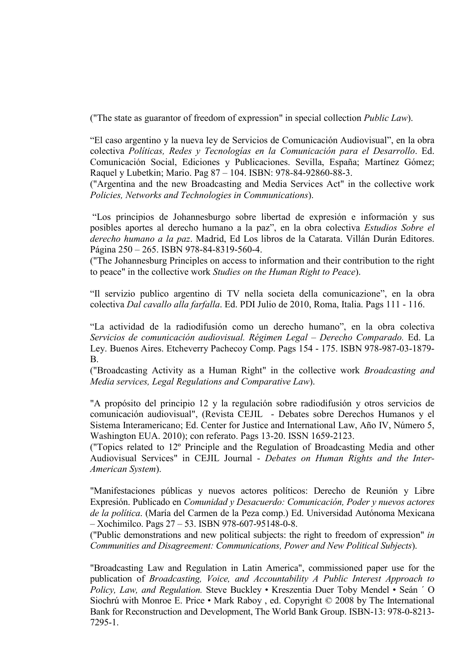("The state as guarantor of freedom of expression" in special collection *Public Law*).

"El caso argentino y la nueva ley de Servicios de Comunicación Audiovisual", en la obra colectiva *Políticas, Redes y Tecnologías en la Comunicación para el Desarrollo*. Ed. Comunicación Social, Ediciones y Publicaciones. Sevilla, España; Martínez Gómez; Raquel y Lubetkin; Mario. Pag 87 – 104. ISBN: 978-84-92860-88-3.

("Argentina and the new Broadcasting and Media Services Act" in the collective work *Policies, Networks and Technologies in Communications*).

"Los principios de Johannesburgo sobre libertad de expresión e información y sus posibles aportes al derecho humano a la paz", en la obra colectiva *Estudios Sobre el derecho humano a la paz*. Madrid, Ed Los libros de la Catarata. Villán Durán Editores. Página 250 – 265. ISBN 978-84-8319-560-4.

("The Johannesburg Principles on access to information and their contribution to the right to peace" in the collective work *Studies on the Human Right to Peace*).

"Il servizio publico argentino di TV nella societa della comunicazione", en la obra colectiva *Dal cavallo alla farfalla*. Ed. PDI Julio de 2010, Roma, Italia. Pags 111 - 116.

"La actividad de la radiodifusión como un derecho humano", en la obra colectiva *Servicios de comunicación audiovisual. Régimen Legal – Derecho Comparado.* Ed. La Ley. Buenos Aires. Etcheverry Pachecoy Comp. Pags 154 - 175. ISBN 978-987-03-1879- B.

("Broadcasting Activity as a Human Right" in the collective work *Broadcasting and Media services, Legal Regulations and Comparative Law*).

"A propósito del principio 12 y la regulación sobre radiodifusión y otros servicios de comunicación audiovisual", (Revista CEJIL - Debates sobre Derechos Humanos y el Sistema Interamericano; Ed. Center for Justice and International Law, Año IV, Número 5, Washington EUA. 2010); con referato. Pags 13-20. ISSN 1659-2123.

("Topics related to 12º Principle and the Regulation of Broadcasting Media and other Audiovisual Services" in CEJIL Journal - *Debates on Human Rights and the Inter-American System*).

"Manifestaciones públicas y nuevos actores políticos: Derecho de Reunión y Libre Expresión. Publicado en *Comunidad y Desacuerdo: Comunicación, Poder y nuevos actores de la política*. (María del Carmen de la Peza comp.) Ed. Universidad Autónoma Mexicana – Xochimilco. Pags 27 – 53. ISBN 978-607-95148-0-8.

("Public demonstrations and new political subjects: the right to freedom of expression" *in Communities and Disagreement: Communications, Power and New Political Subjects*).

"Broadcasting Law and Regulation in Latin America", commissioned paper use for the publication of *Broadcasting, Voice, and Accountability A Public Interest Approach to Policy, Law, and Regulation.* Steve Buckley • Kreszentia Duer Toby Mendel • Seán ´ O Siochrú with Monroe E. Price • Mark Raboy , ed. Copyright © 2008 by The International Bank for Reconstruction and Development, The World Bank Group. ISBN-13: 978-0-8213- 7295-1.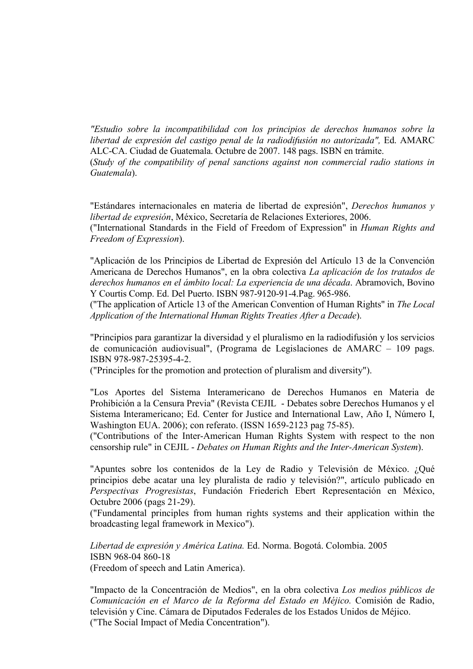*"Estudio sobre la incompatibilidad con los principios de derechos humanos sobre la libertad de expresión del castigo penal de la radiodifusión no autorizada",* Ed. AMARC ALC-CA. Ciudad de Guatemala. Octubre de 2007. 148 pags. ISBN en trámite. (*Study of the compatibility of penal sanctions against non commercial radio stations in Guatemala*).

"Estándares internacionales en materia de libertad de expresión", *Derechos humanos y libertad de expresión*, México, Secretaría de Relaciones Exteriores, 2006.

("International Standards in the Field of Freedom of Expression" in *Human Rights and Freedom of Expression*).

"Aplicación de los Principios de Libertad de Expresión del Artículo 13 de la Convención Americana de Derechos Humanos", en la obra colectiva *La aplicación de los tratados de derechos humanos en el ámbito local: La experiencia de una década*. Abramovich, Bovino Y Courtis Comp. Ed. Del Puerto. ISBN 987-9120-91-4.Pag. 965-986.

("The application of Article 13 of the American Convention of Human Rights" in *The Local Application of the International Human Rights Treaties After a Decade*).

"Principios para garantizar la diversidad y el pluralismo en la radiodifusión y los servicios de comunicación audiovisual", (Programa de Legislaciones de AMARC – 109 pags. ISBN 978-987-25395-4-2.

("Principles for the promotion and protection of pluralism and diversity").

"Los Aportes del Sistema Interamericano de Derechos Humanos en Materia de Prohibición a la Censura Previa" (Revista CEJIL - Debates sobre Derechos Humanos y el Sistema Interamericano; Ed. Center for Justice and International Law, Año I, Número I, Washington EUA. 2006); con referato. (ISSN 1659-2123 pag 75-85).

("Contributions of the Inter-American Human Rights System with respect to the non censorship rule" in CEJIL - *Debates on Human Rights and the Inter-American System*).

"Apuntes sobre los contenidos de la Ley de Radio y Televisión de México. ¿Qué principios debe acatar una ley pluralista de radio y televisión?", artículo publicado en *Perspectivas Progresistas*, Fundación Friederich Ebert Representación en México, Octubre 2006 (pags 21-29).

("Fundamental principles from human rights systems and their application within the broadcasting legal framework in Mexico").

*Libertad de expresión y América Latina.* Ed. Norma. Bogotá. Colombia. 2005 ISBN 968-04 860-18 (Freedom of speech and Latin America).

"Impacto de la Concentración de Medios", en la obra colectiva *Los medios públicos de Comunicación en el Marco de la Reforma del Estado en Méjico.* Comisión de Radio, televisión y Cine. Cámara de Diputados Federales de los Estados Unidos de Méjico. ("The Social Impact of Media Concentration").